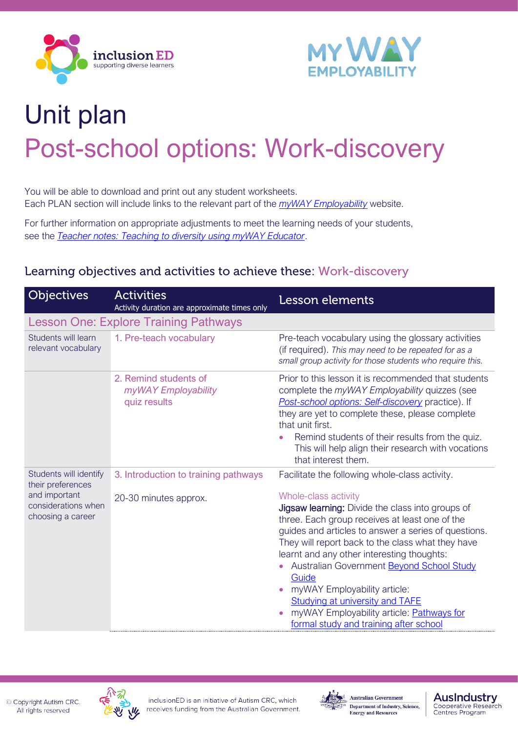



## Unit plan Post-school options: Work-discovery

You will be able to download and print out any student worksheets. Each PLAN section will include links to the relevant part of the *myWAY [Employability](https://www.mywayemployability.com.au/)* website.

For further information on appropriate adjustments to meet the learning needs of your students, see the *[Teacher notes: Teaching to diversity using myWAY Educator](https://cdn.inclusioned.edu.au/cdn/ff/CiqR52zQRgHhX5AiREXCWNgRhfiBrks72zcknq-vqQI/1644219748/public/media/Teacher-notes_Self-discovery_MWE-20220207-1521_0.pdf)*.

## Learning objectives and activities to achieve these: Work-discovery

| <b>Objectives</b>                                                                                        | <b>Activities</b><br>Activity duration are approximate times only | Lesson elements                                                                                                                                                                                                                                                                                                                                                                                                                                                                                                                                                             |  |  |
|----------------------------------------------------------------------------------------------------------|-------------------------------------------------------------------|-----------------------------------------------------------------------------------------------------------------------------------------------------------------------------------------------------------------------------------------------------------------------------------------------------------------------------------------------------------------------------------------------------------------------------------------------------------------------------------------------------------------------------------------------------------------------------|--|--|
| Lesson One: Explore Training Pathways                                                                    |                                                                   |                                                                                                                                                                                                                                                                                                                                                                                                                                                                                                                                                                             |  |  |
| Students will learn<br>relevant vocabulary                                                               | 1. Pre-teach vocabulary                                           | Pre-teach vocabulary using the glossary activities<br>(if required). This may need to be repeated for as a<br>small group activity for those students who require this.                                                                                                                                                                                                                                                                                                                                                                                                     |  |  |
|                                                                                                          | 2. Remind students of<br>myWAY Employability<br>quiz results      | Prior to this lesson it is recommended that students<br>complete the myWAY Employability quizzes (see<br>Post-school options: Self-discovery practice). If<br>they are yet to complete these, please complete<br>that unit first.<br>Remind students of their results from the quiz.<br>This will help align their research with vocations<br>that interest them.                                                                                                                                                                                                           |  |  |
| Students will identify<br>their preferences<br>and important<br>considerations when<br>choosing a career | 3. Introduction to training pathways<br>20-30 minutes approx.     | Facilitate the following whole-class activity.<br>Whole-class activity<br>Jigsaw learning: Divide the class into groups of<br>three. Each group receives at least one of the<br>guides and articles to answer a series of questions.<br>They will report back to the class what they have<br>learnt and any other interesting thoughts:<br>Australian Government Beyond School Study<br>Guide<br>myWAY Employability article:<br>$\bullet$<br><b>Studying at university and TAFE</b><br>myWAY Employability article: Pathways for<br>formal study and training after school |  |  |







**AusIndustry** 

Centres Program

Cooperative Research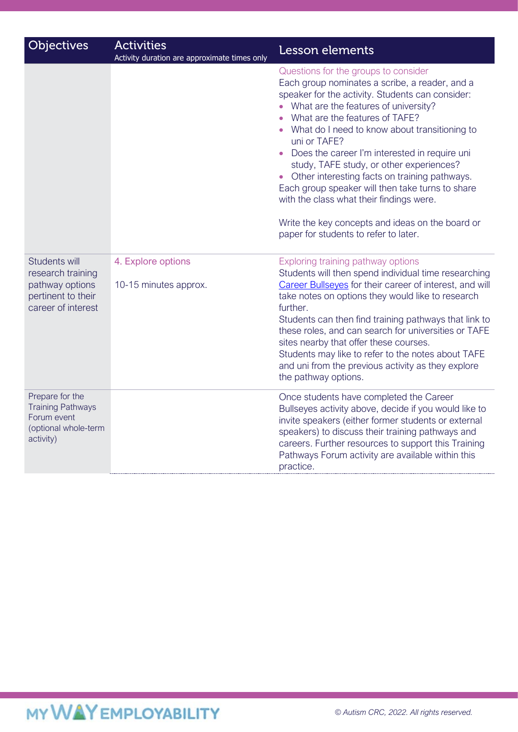| <b>Objectives</b>                                                                                 | <b>Activities</b><br>Activity duration are approximate times only | Lesson elements                                                                                                                                                                                                                                                                                                                                                                                                                                                                                                                                                                                                                  |
|---------------------------------------------------------------------------------------------------|-------------------------------------------------------------------|----------------------------------------------------------------------------------------------------------------------------------------------------------------------------------------------------------------------------------------------------------------------------------------------------------------------------------------------------------------------------------------------------------------------------------------------------------------------------------------------------------------------------------------------------------------------------------------------------------------------------------|
|                                                                                                   |                                                                   | Questions for the groups to consider<br>Each group nominates a scribe, a reader, and a<br>speaker for the activity. Students can consider:<br>What are the features of university?<br>What are the features of TAFE?<br>What do I need to know about transitioning to<br>uni or TAFE?<br>Does the career I'm interested in require uni<br>study, TAFE study, or other experiences?<br>Other interesting facts on training pathways.<br>Each group speaker will then take turns to share<br>with the class what their findings were.<br>Write the key concepts and ideas on the board or<br>paper for students to refer to later. |
| Students will<br>research training<br>pathway options<br>pertinent to their<br>career of interest | 4. Explore options<br>10-15 minutes approx.                       | Exploring training pathway options<br>Students will then spend individual time researching<br>Career Bullseyes for their career of interest, and will<br>take notes on options they would like to research<br>further.<br>Students can then find training pathways that link to<br>these roles, and can search for universities or TAFE<br>sites nearby that offer these courses.<br>Students may like to refer to the notes about TAFE<br>and uni from the previous activity as they explore<br>the pathway options.                                                                                                            |
| Prepare for the<br><b>Training Pathways</b><br>Forum event<br>(optional whole-term<br>activity)   |                                                                   | Once students have completed the Career<br>Bullseyes activity above, decide if you would like to<br>invite speakers (either former students or external<br>speakers) to discuss their training pathways and<br>careers. Further resources to support this Training<br>Pathways Forum activity are available within this<br>practice.                                                                                                                                                                                                                                                                                             |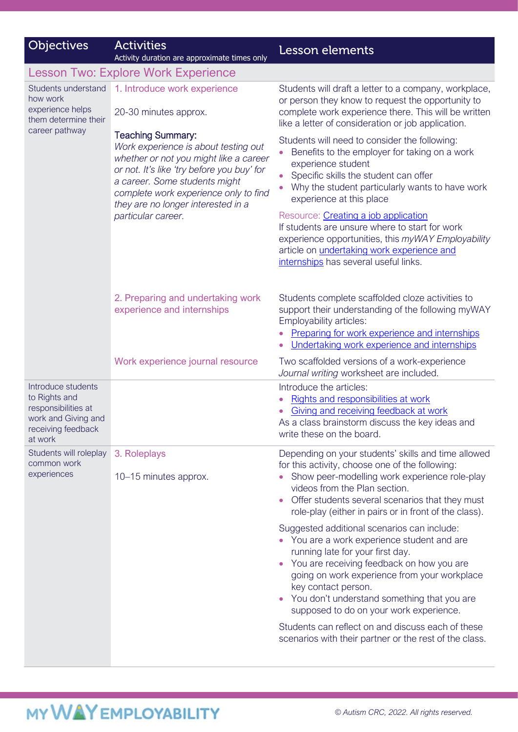| <b>Objectives</b>                                                                                                  | <b>Activities</b><br>Activity duration are approximate times only                                                                                                                                                                                                        | Lesson elements                                                                                                                                                                                                                                                                                                                              |  |  |  |
|--------------------------------------------------------------------------------------------------------------------|--------------------------------------------------------------------------------------------------------------------------------------------------------------------------------------------------------------------------------------------------------------------------|----------------------------------------------------------------------------------------------------------------------------------------------------------------------------------------------------------------------------------------------------------------------------------------------------------------------------------------------|--|--|--|
| <b>Lesson Two: Explore Work Experience</b>                                                                         |                                                                                                                                                                                                                                                                          |                                                                                                                                                                                                                                                                                                                                              |  |  |  |
| Students understand<br>how work<br>experience helps<br>them determine their<br>career pathway                      | 1. Introduce work experience<br>20-30 minutes approx.                                                                                                                                                                                                                    | Students will draft a letter to a company, workplace,<br>or person they know to request the opportunity to<br>complete work experience there. This will be written<br>like a letter of consideration or job application.                                                                                                                     |  |  |  |
|                                                                                                                    | <b>Teaching Summary:</b><br>Work experience is about testing out<br>whether or not you might like a career<br>or not. It's like 'try before you buy' for<br>a career. Some students might<br>complete work experience only to find<br>they are no longer interested in a | Students will need to consider the following:<br>Benefits to the employer for taking on a work<br>experience student<br>Specific skills the student can offer<br>Why the student particularly wants to have work<br>experience at this place                                                                                                 |  |  |  |
|                                                                                                                    | particular career.                                                                                                                                                                                                                                                       | Resource: Creating a job application<br>If students are unsure where to start for work<br>experience opportunities, this myWAY Employability<br>article on <i>undertaking</i> work experience and<br>internships has several useful links.                                                                                                   |  |  |  |
|                                                                                                                    | 2. Preparing and undertaking work<br>experience and internships                                                                                                                                                                                                          | Students complete scaffolded cloze activities to<br>support their understanding of the following myWAY<br>Employability articles:<br>Preparing for work experience and internships<br>Undertaking work experience and internships                                                                                                            |  |  |  |
|                                                                                                                    | Work experience journal resource                                                                                                                                                                                                                                         | Two scaffolded versions of a work-experience<br>Journal writing worksheet are included.                                                                                                                                                                                                                                                      |  |  |  |
| Introduce students<br>to Rights and<br>responsibilities at<br>work and Giving and<br>receiving feedback<br>at work |                                                                                                                                                                                                                                                                          | Introduce the articles:<br>Rights and responsibilities at work<br>Giving and receiving feedback at work<br>As a class brainstorm discuss the key ideas and<br>write these on the board.                                                                                                                                                      |  |  |  |
| Students will roleplay<br>common work<br>experiences                                                               | 3. Roleplays<br>10-15 minutes approx.                                                                                                                                                                                                                                    | Depending on your students' skills and time allowed<br>for this activity, choose one of the following:<br>Show peer-modelling work experience role-play<br>videos from the Plan section.<br>• Offer students several scenarios that they must<br>role-play (either in pairs or in front of the class).                                       |  |  |  |
|                                                                                                                    |                                                                                                                                                                                                                                                                          | Suggested additional scenarios can include:<br>• You are a work experience student and are<br>running late for your first day.<br>You are receiving feedback on how you are<br>going on work experience from your workplace<br>key contact person.<br>You don't understand something that you are<br>supposed to do on your work experience. |  |  |  |
|                                                                                                                    |                                                                                                                                                                                                                                                                          | Students can reflect on and discuss each of these<br>scenarios with their partner or the rest of the class.                                                                                                                                                                                                                                  |  |  |  |

## MY WAY EMPLOYABILITY